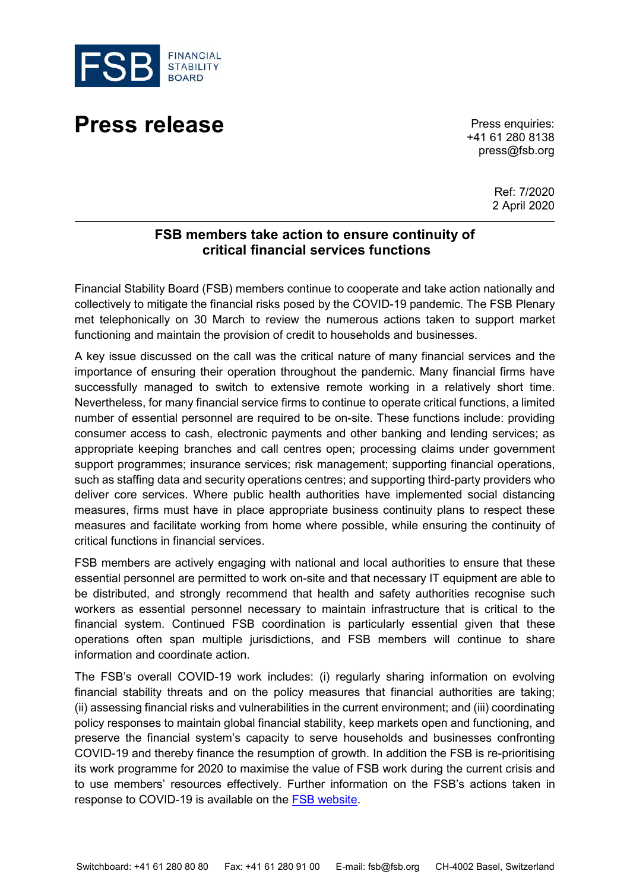

## **Press release** Press enquiries:

+41 61 280 8138 press@fsb.org

> Ref: 7/2020 2 April 2020

## **FSB members take action to ensure continuity of critical financial services functions**

Financial Stability Board (FSB) members continue to cooperate and take action nationally and collectively to mitigate the financial risks posed by the COVID-19 pandemic. The FSB Plenary met telephonically on 30 March to review the numerous actions taken to support market functioning and maintain the provision of credit to households and businesses.

A key issue discussed on the call was the critical nature of many financial services and the importance of ensuring their operation throughout the pandemic. Many financial firms have successfully managed to switch to extensive remote working in a relatively short time. Nevertheless, for many financial service firms to continue to operate critical functions, a limited number of essential personnel are required to be on-site. These functions include: providing consumer access to cash, electronic payments and other banking and lending services; as appropriate keeping branches and call centres open; processing claims under government support programmes; insurance services; risk management; supporting financial operations, such as staffing data and security operations centres; and supporting third-party providers who deliver core services. Where public health authorities have implemented social distancing measures, firms must have in place appropriate business continuity plans to respect these measures and facilitate working from home where possible, while ensuring the continuity of critical functions in financial services.

FSB members are actively engaging with national and local authorities to ensure that these essential personnel are permitted to work on-site and that necessary IT equipment are able to be distributed, and strongly recommend that health and safety authorities recognise such workers as essential personnel necessary to maintain infrastructure that is critical to the financial system. Continued FSB coordination is particularly essential given that these operations often span multiple jurisdictions, and FSB members will continue to share information and coordinate action.

The FSB's overall COVID-19 work includes: (i) regularly sharing information on evolving financial stability threats and on the policy measures that financial authorities are taking; (ii) assessing financial risks and vulnerabilities in the current environment; and (iii) coordinating policy responses to maintain global financial stability, keep markets open and functioning, and preserve the financial system's capacity to serve households and businesses confronting COVID-19 and thereby finance the resumption of growth. In addition the FSB is re-prioritising its work programme for 2020 to maximise the value of FSB work during the current crisis and to use members' resources effectively. Further information on the FSB's actions taken in response to COVID-19 is available on the [FSB website.](https://www.fsb.org/work-of-the-fsb/addressing-financial-stability-risks-of-covid-19/)